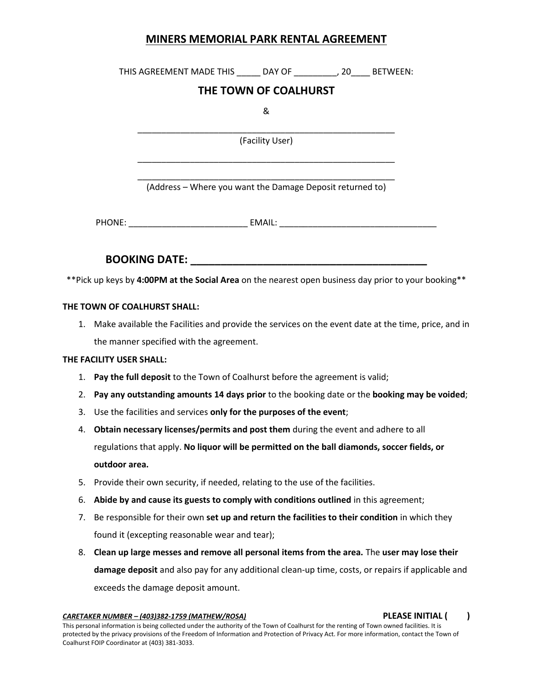## **MINERS MEMORIAL PARK RENTAL AGREEMENT**

THIS AGREEMENT MADE THIS \_\_\_\_\_ DAY OF \_\_\_\_\_\_\_\_\_, 20\_\_\_\_ BETWEEN:

# **THE TOWN OF COALHURST**

&

\_\_\_\_\_\_\_\_\_\_\_\_\_\_\_\_\_\_\_\_\_\_\_\_\_\_\_\_\_\_\_\_\_\_\_\_\_\_\_\_\_\_\_\_\_\_\_\_\_\_\_\_\_\_ (Facility User)

\_\_\_\_\_\_\_\_\_\_\_\_\_\_\_\_\_\_\_\_\_\_\_\_\_\_\_\_\_\_\_\_\_\_\_\_\_\_\_\_\_\_\_\_\_\_\_\_\_\_\_\_\_\_

\_\_\_\_\_\_\_\_\_\_\_\_\_\_\_\_\_\_\_\_\_\_\_\_\_\_\_\_\_\_\_\_\_\_\_\_\_\_\_\_\_\_\_\_\_\_\_\_\_\_\_\_\_\_ (Address – Where you want the Damage Deposit returned to)

PHONE: \_\_\_\_\_\_\_\_\_\_\_\_\_\_\_\_\_\_\_\_\_\_\_\_\_\_\_\_\_\_\_\_\_ EMAIL: \_\_\_\_\_\_\_\_\_\_\_\_\_\_\_\_\_\_\_\_\_\_\_\_\_\_\_\_\_\_\_\_\_

**BOOKING DATE: \_\_\_\_\_\_\_\_\_\_\_\_\_\_\_\_\_\_\_\_\_\_\_\_\_\_\_\_\_\_\_\_\_\_\_\_\_\_\_**

\*\*Pick up keys by **4:00PM at the Social Area** on the nearest open business day prior to your booking\*\*

## **THE TOWN OF COALHURST SHALL:**

1. Make available the Facilities and provide the services on the event date at the time, price, and in the manner specified with the agreement.

## **THE FACILITY USER SHALL:**

- 1. **Pay the full deposit** to the Town of Coalhurst before the agreement is valid;
- 2. **Pay any outstanding amounts 14 days prior** to the booking date or the **booking may be voided**;
- 3. Use the facilities and services **only for the purposes of the event**;
- 4. **Obtain necessary licenses/permits and post them** during the event and adhere to all regulations that apply. **No liquor will be permitted on the ball diamonds, soccer fields, or outdoor area.**
- 5. Provide their own security, if needed, relating to the use of the facilities.
- 6. **Abide by and cause its guests to comply with conditions outlined** in this agreement;
- 7. Be responsible for their own **set up and return the facilities to their condition** in which they found it (excepting reasonable wear and tear);
- 8. **Clean up large messes and remove all personal items from the area.** The **user may lose their damage deposit** and also pay for any additional clean-up time, costs, or repairs if applicable and exceeds the damage deposit amount.

*CARETAKER NUMBER – (403)382-1759 (MATHEW/ROSA)* **PLEASE INITIAL ( )**

This personal information is being collected under the authority of the Town of Coalhurst for the renting of Town owned facilities. It is protected by the privacy provisions of the Freedom of Information and Protection of Privacy Act. For more information, contact the Town of Coalhurst FOIP Coordinator at (403) 381-3033.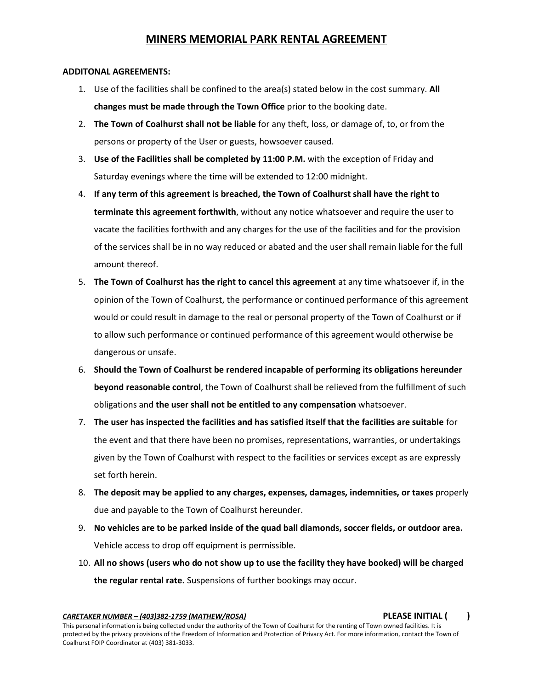# **MINERS MEMORIAL PARK RENTAL AGREEMENT**

### **ADDITONAL AGREEMENTS:**

- 1. Use of the facilities shall be confined to the area(s) stated below in the cost summary. **All changes must be made through the Town Office** prior to the booking date.
- 2. **The Town of Coalhurst shall not be liable** for any theft, loss, or damage of, to, or from the persons or property of the User or guests, howsoever caused.
- 3. **Use of the Facilities shall be completed by 11:00 P.M.** with the exception of Friday and Saturday evenings where the time will be extended to 12:00 midnight.
- 4. **If any term of this agreement is breached, the Town of Coalhurst shall have the right to terminate this agreement forthwith**, without any notice whatsoever and require the user to vacate the facilities forthwith and any charges for the use of the facilities and for the provision of the services shall be in no way reduced or abated and the user shall remain liable for the full amount thereof.
- 5. **The Town of Coalhurst has the right to cancel this agreement** at any time whatsoever if, in the opinion of the Town of Coalhurst, the performance or continued performance of this agreement would or could result in damage to the real or personal property of the Town of Coalhurst or if to allow such performance or continued performance of this agreement would otherwise be dangerous or unsafe.
- 6. **Should the Town of Coalhurst be rendered incapable of performing its obligations hereunder beyond reasonable control**, the Town of Coalhurst shall be relieved from the fulfillment of such obligations and **the user shall not be entitled to any compensation** whatsoever.
- 7. **The user has inspected the facilities and has satisfied itself that the facilities are suitable** for the event and that there have been no promises, representations, warranties, or undertakings given by the Town of Coalhurst with respect to the facilities or services except as are expressly set forth herein.
- 8. **The deposit may be applied to any charges, expenses, damages, indemnities, or taxes** properly due and payable to the Town of Coalhurst hereunder.
- 9. **No vehicles are to be parked inside of the quad ball diamonds, soccer fields, or outdoor area.**  Vehicle access to drop off equipment is permissible.
- 10. **All no shows (users who do not show up to use the facility they have booked) will be charged the regular rental rate.** Suspensions of further bookings may occur.

*CARETAKER NUMBER – (403)382-1759 (MATHEW/ROSA)* **PLEASE INITIAL ( )**